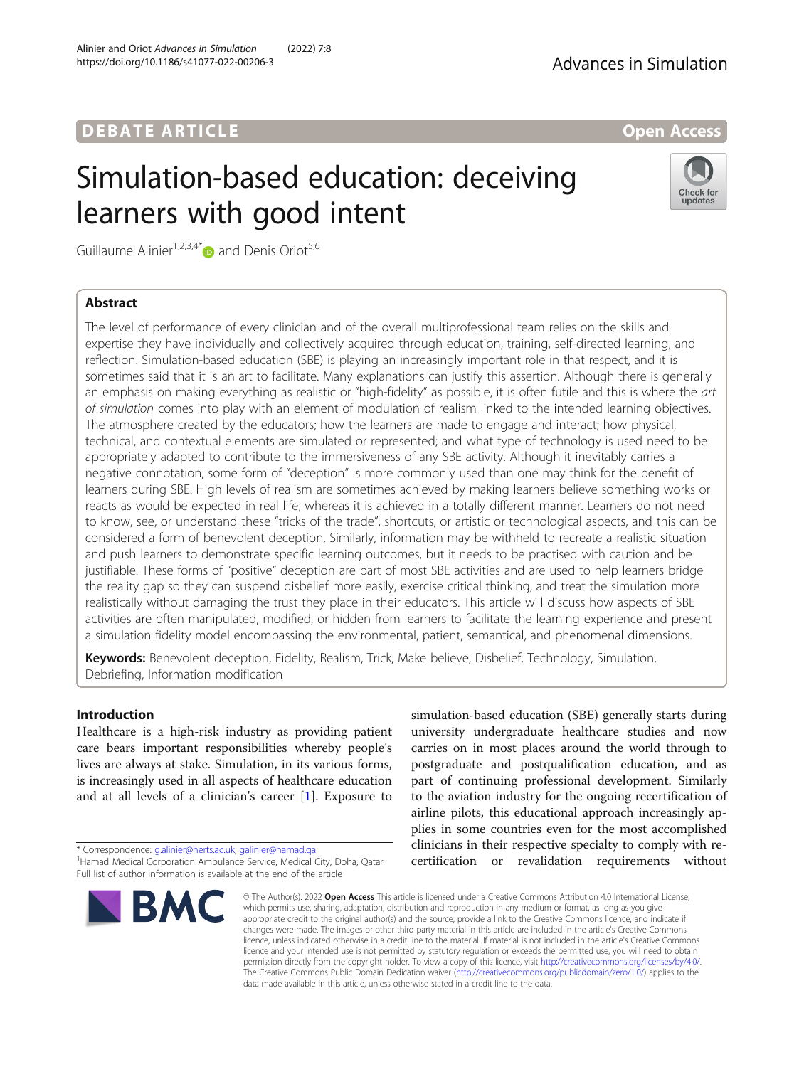# **DEBATE ARTICLE CONSUMING A RESIDENCE A** RESERVE AND THE OPEN ACCESS

# Simulation-based education: deceiving learners with good intent



Guillaume Alinier<sup>1,2,3,4[\\*](http://orcid.org/0000-0003-4255-4450)</sup> and Denis Oriot<sup>5,6</sup>

# Abstract

The level of performance of every clinician and of the overall multiprofessional team relies on the skills and expertise they have individually and collectively acquired through education, training, self-directed learning, and reflection. Simulation-based education (SBE) is playing an increasingly important role in that respect, and it is sometimes said that it is an art to facilitate. Many explanations can justify this assertion. Although there is generally an emphasis on making everything as realistic or "high-fidelity" as possible, it is often futile and this is where the art of simulation comes into play with an element of modulation of realism linked to the intended learning objectives. The atmosphere created by the educators; how the learners are made to engage and interact; how physical, technical, and contextual elements are simulated or represented; and what type of technology is used need to be appropriately adapted to contribute to the immersiveness of any SBE activity. Although it inevitably carries a negative connotation, some form of "deception" is more commonly used than one may think for the benefit of learners during SBE. High levels of realism are sometimes achieved by making learners believe something works or reacts as would be expected in real life, whereas it is achieved in a totally different manner. Learners do not need to know, see, or understand these "tricks of the trade", shortcuts, or artistic or technological aspects, and this can be considered a form of benevolent deception. Similarly, information may be withheld to recreate a realistic situation and push learners to demonstrate specific learning outcomes, but it needs to be practised with caution and be justifiable. These forms of "positive" deception are part of most SBE activities and are used to help learners bridge the reality gap so they can suspend disbelief more easily, exercise critical thinking, and treat the simulation more realistically without damaging the trust they place in their educators. This article will discuss how aspects of SBE activities are often manipulated, modified, or hidden from learners to facilitate the learning experience and present a simulation fidelity model encompassing the environmental, patient, semantical, and phenomenal dimensions.

Keywords: Benevolent deception, Fidelity, Realism, Trick, Make believe, Disbelief, Technology, Simulation, Debriefing, Information modification

# Introduction

Healthcare is a high-risk industry as providing patient care bears important responsibilities whereby people's lives are always at stake. Simulation, in its various forms, is increasingly used in all aspects of healthcare education and at all levels of a clinician's career [[1\]](#page-11-0). Exposure to

<sup>&</sup>lt;sup>1</sup>Hamad Medical Corporation Ambulance Service, Medical City, Doha, Qatar Full list of author information is available at the end of the article



simulation-based education (SBE) generally starts during university undergraduate healthcare studies and now carries on in most places around the world through to postgraduate and postqualification education, and as part of continuing professional development. Similarly to the aviation industry for the ongoing recertification of airline pilots, this educational approach increasingly applies in some countries even for the most accomplished clinicians in their respective specialty to comply with recertification or revalidation requirements without

© The Author(s), 2022 **Open Access** This article is licensed under a Creative Commons Attribution 4.0 International License, which permits use, sharing, adaptation, distribution and reproduction in any medium or format, as long as you give appropriate credit to the original author(s) and the source, provide a link to the Creative Commons licence, and indicate if changes were made. The images or other third party material in this article are included in the article's Creative Commons licence, unless indicated otherwise in a credit line to the material. If material is not included in the article's Creative Commons licence and your intended use is not permitted by statutory regulation or exceeds the permitted use, you will need to obtain permission directly from the copyright holder. To view a copy of this licence, visit [http://creativecommons.org/licenses/by/4.0/.](http://creativecommons.org/licenses/by/4.0/) The Creative Commons Public Domain Dedication waiver [\(http://creativecommons.org/publicdomain/zero/1.0/](http://creativecommons.org/publicdomain/zero/1.0/)) applies to the data made available in this article, unless otherwise stated in a credit line to the data.

<sup>\*</sup> Correspondence: [g.alinier@herts.ac.uk;](mailto:g.alinier@herts.ac.uk) [galinier@hamad.qa](mailto:galinier@hamad.qa) <sup>1</sup>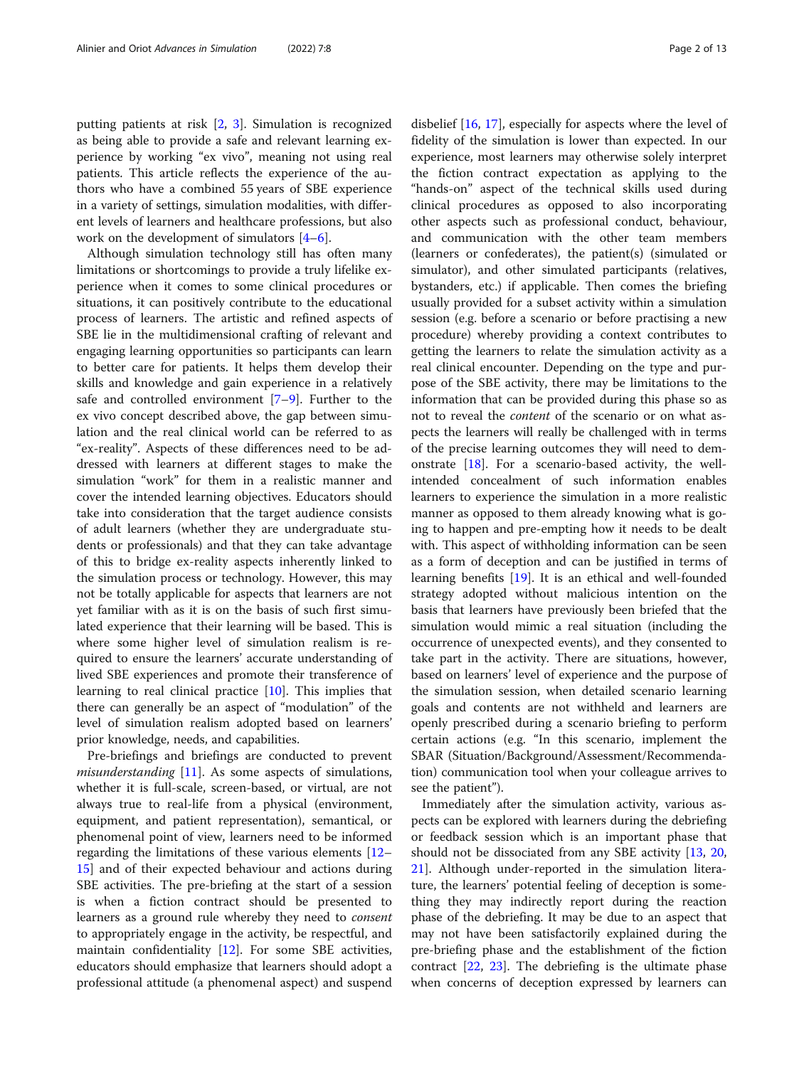putting patients at risk [\[2](#page-11-0), [3\]](#page-11-0). Simulation is recognized as being able to provide a safe and relevant learning experience by working "ex vivo", meaning not using real patients. This article reflects the experience of the authors who have a combined 55 years of SBE experience in a variety of settings, simulation modalities, with different levels of learners and healthcare professions, but also work on the development of simulators [[4](#page-11-0)–[6](#page-11-0)].

Although simulation technology still has often many limitations or shortcomings to provide a truly lifelike experience when it comes to some clinical procedures or situations, it can positively contribute to the educational process of learners. The artistic and refined aspects of SBE lie in the multidimensional crafting of relevant and engaging learning opportunities so participants can learn to better care for patients. It helps them develop their skills and knowledge and gain experience in a relatively safe and controlled environment [\[7](#page-11-0)–[9](#page-11-0)]. Further to the ex vivo concept described above, the gap between simulation and the real clinical world can be referred to as "ex-reality". Aspects of these differences need to be addressed with learners at different stages to make the simulation "work" for them in a realistic manner and cover the intended learning objectives. Educators should take into consideration that the target audience consists of adult learners (whether they are undergraduate students or professionals) and that they can take advantage of this to bridge ex-reality aspects inherently linked to the simulation process or technology. However, this may not be totally applicable for aspects that learners are not yet familiar with as it is on the basis of such first simulated experience that their learning will be based. This is where some higher level of simulation realism is required to ensure the learners' accurate understanding of lived SBE experiences and promote their transference of learning to real clinical practice [[10\]](#page-11-0). This implies that there can generally be an aspect of "modulation" of the level of simulation realism adopted based on learners' prior knowledge, needs, and capabilities.

Pre-briefings and briefings are conducted to prevent misunderstanding  $[11]$  $[11]$  $[11]$ . As some aspects of simulations, whether it is full-scale, screen-based, or virtual, are not always true to real-life from a physical (environment, equipment, and patient representation), semantical, or phenomenal point of view, learners need to be informed regarding the limitations of these various elements [[12](#page-11-0)– [15\]](#page-11-0) and of their expected behaviour and actions during SBE activities. The pre-briefing at the start of a session is when a fiction contract should be presented to learners as a ground rule whereby they need to consent to appropriately engage in the activity, be respectful, and maintain confidentiality [[12\]](#page-11-0). For some SBE activities, educators should emphasize that learners should adopt a professional attitude (a phenomenal aspect) and suspend

disbelief [\[16](#page-11-0), [17](#page-11-0)], especially for aspects where the level of fidelity of the simulation is lower than expected. In our experience, most learners may otherwise solely interpret the fiction contract expectation as applying to the "hands-on" aspect of the technical skills used during clinical procedures as opposed to also incorporating other aspects such as professional conduct, behaviour, and communication with the other team members (learners or confederates), the patient(s) (simulated or simulator), and other simulated participants (relatives, bystanders, etc.) if applicable. Then comes the briefing usually provided for a subset activity within a simulation session (e.g. before a scenario or before practising a new procedure) whereby providing a context contributes to getting the learners to relate the simulation activity as a real clinical encounter. Depending on the type and purpose of the SBE activity, there may be limitations to the information that can be provided during this phase so as not to reveal the content of the scenario or on what aspects the learners will really be challenged with in terms of the precise learning outcomes they will need to demonstrate [[18\]](#page-11-0). For a scenario-based activity, the wellintended concealment of such information enables learners to experience the simulation in a more realistic manner as opposed to them already knowing what is going to happen and pre-empting how it needs to be dealt with. This aspect of withholding information can be seen as a form of deception and can be justified in terms of learning benefits [[19\]](#page-11-0). It is an ethical and well-founded strategy adopted without malicious intention on the basis that learners have previously been briefed that the simulation would mimic a real situation (including the occurrence of unexpected events), and they consented to take part in the activity. There are situations, however, based on learners' level of experience and the purpose of the simulation session, when detailed scenario learning goals and contents are not withheld and learners are openly prescribed during a scenario briefing to perform certain actions (e.g. "In this scenario, implement the SBAR (Situation/Background/Assessment/Recommendation) communication tool when your colleague arrives to see the patient").

Immediately after the simulation activity, various aspects can be explored with learners during the debriefing or feedback session which is an important phase that should not be dissociated from any SBE activity [\[13,](#page-11-0) [20](#page-11-0), [21\]](#page-11-0). Although under-reported in the simulation literature, the learners' potential feeling of deception is something they may indirectly report during the reaction phase of the debriefing. It may be due to an aspect that may not have been satisfactorily explained during the pre-briefing phase and the establishment of the fiction contract [\[22](#page-11-0), [23\]](#page-11-0). The debriefing is the ultimate phase when concerns of deception expressed by learners can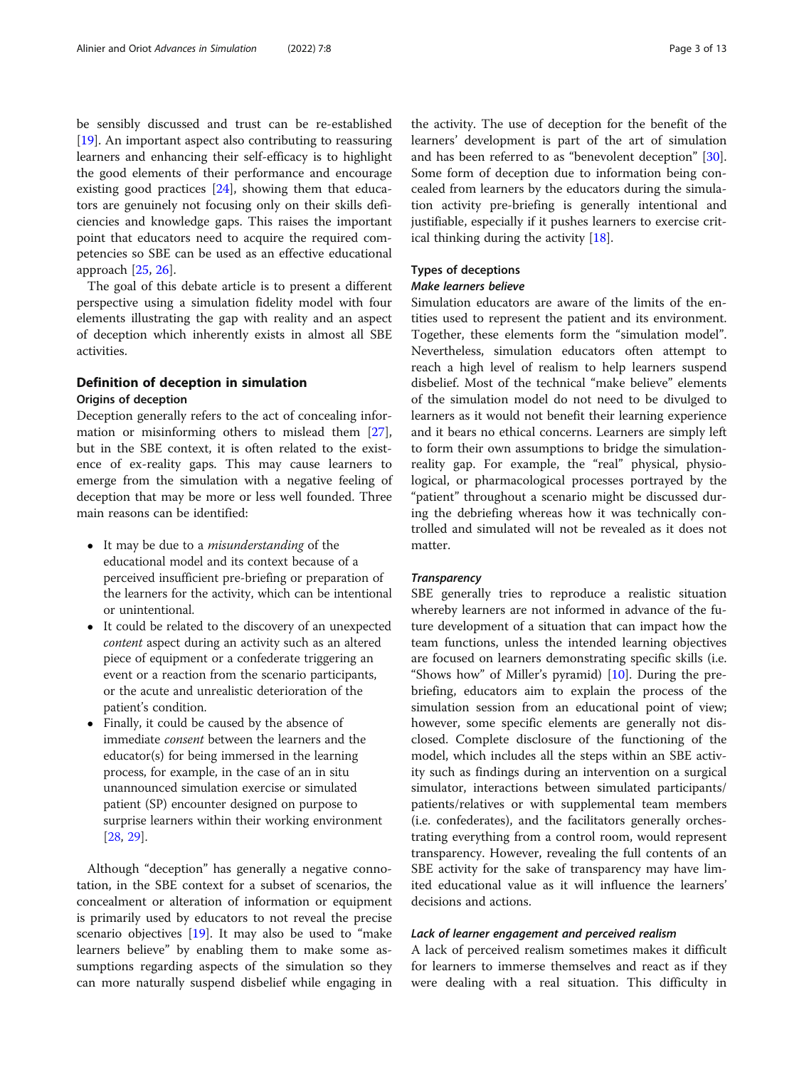be sensibly discussed and trust can be re-established [[19\]](#page-11-0). An important aspect also contributing to reassuring learners and enhancing their self-efficacy is to highlight the good elements of their performance and encourage existing good practices [\[24](#page-11-0)], showing them that educators are genuinely not focusing only on their skills deficiencies and knowledge gaps. This raises the important point that educators need to acquire the required competencies so SBE can be used as an effective educational approach [[25](#page-11-0), [26](#page-11-0)].

The goal of this debate article is to present a different perspective using a simulation fidelity model with four elements illustrating the gap with reality and an aspect of deception which inherently exists in almost all SBE activities.

# Definition of deception in simulation

# Origins of deception

Deception generally refers to the act of concealing information or misinforming others to mislead them [\[27](#page-11-0)], but in the SBE context, it is often related to the existence of ex-reality gaps. This may cause learners to emerge from the simulation with a negative feeling of deception that may be more or less well founded. Three main reasons can be identified:

- It may be due to a *misunderstanding* of the educational model and its context because of a perceived insufficient pre-briefing or preparation of the learners for the activity, which can be intentional or unintentional.
- It could be related to the discovery of an unexpected content aspect during an activity such as an altered piece of equipment or a confederate triggering an event or a reaction from the scenario participants, or the acute and unrealistic deterioration of the patient's condition.
- Finally, it could be caused by the absence of immediate consent between the learners and the educator(s) for being immersed in the learning process, for example, in the case of an in situ unannounced simulation exercise or simulated patient (SP) encounter designed on purpose to surprise learners within their working environment [[28](#page-11-0), [29](#page-11-0)].

Although "deception" has generally a negative connotation, in the SBE context for a subset of scenarios, the concealment or alteration of information or equipment is primarily used by educators to not reveal the precise scenario objectives  $[19]$  $[19]$  $[19]$ . It may also be used to "make learners believe" by enabling them to make some assumptions regarding aspects of the simulation so they can more naturally suspend disbelief while engaging in

the activity. The use of deception for the benefit of the learners' development is part of the art of simulation and has been referred to as "benevolent deception" [\[30](#page-11-0)]. Some form of deception due to information being concealed from learners by the educators during the simulation activity pre-briefing is generally intentional and justifiable, especially if it pushes learners to exercise critical thinking during the activity [\[18](#page-11-0)].

# Types of deceptions

# Make learners believe

Simulation educators are aware of the limits of the entities used to represent the patient and its environment. Together, these elements form the "simulation model". Nevertheless, simulation educators often attempt to reach a high level of realism to help learners suspend disbelief. Most of the technical "make believe" elements of the simulation model do not need to be divulged to learners as it would not benefit their learning experience and it bears no ethical concerns. Learners are simply left to form their own assumptions to bridge the simulationreality gap. For example, the "real" physical, physiological, or pharmacological processes portrayed by the "patient" throughout a scenario might be discussed during the debriefing whereas how it was technically controlled and simulated will not be revealed as it does not matter.

#### **Transparency**

SBE generally tries to reproduce a realistic situation whereby learners are not informed in advance of the future development of a situation that can impact how the team functions, unless the intended learning objectives are focused on learners demonstrating specific skills (i.e. "Shows how" of Miller's pyramid)  $[10]$  $[10]$ . During the prebriefing, educators aim to explain the process of the simulation session from an educational point of view; however, some specific elements are generally not disclosed. Complete disclosure of the functioning of the model, which includes all the steps within an SBE activity such as findings during an intervention on a surgical simulator, interactions between simulated participants/ patients/relatives or with supplemental team members (i.e. confederates), and the facilitators generally orchestrating everything from a control room, would represent transparency. However, revealing the full contents of an SBE activity for the sake of transparency may have limited educational value as it will influence the learners' decisions and actions.

#### Lack of learner engagement and perceived realism

A lack of perceived realism sometimes makes it difficult for learners to immerse themselves and react as if they were dealing with a real situation. This difficulty in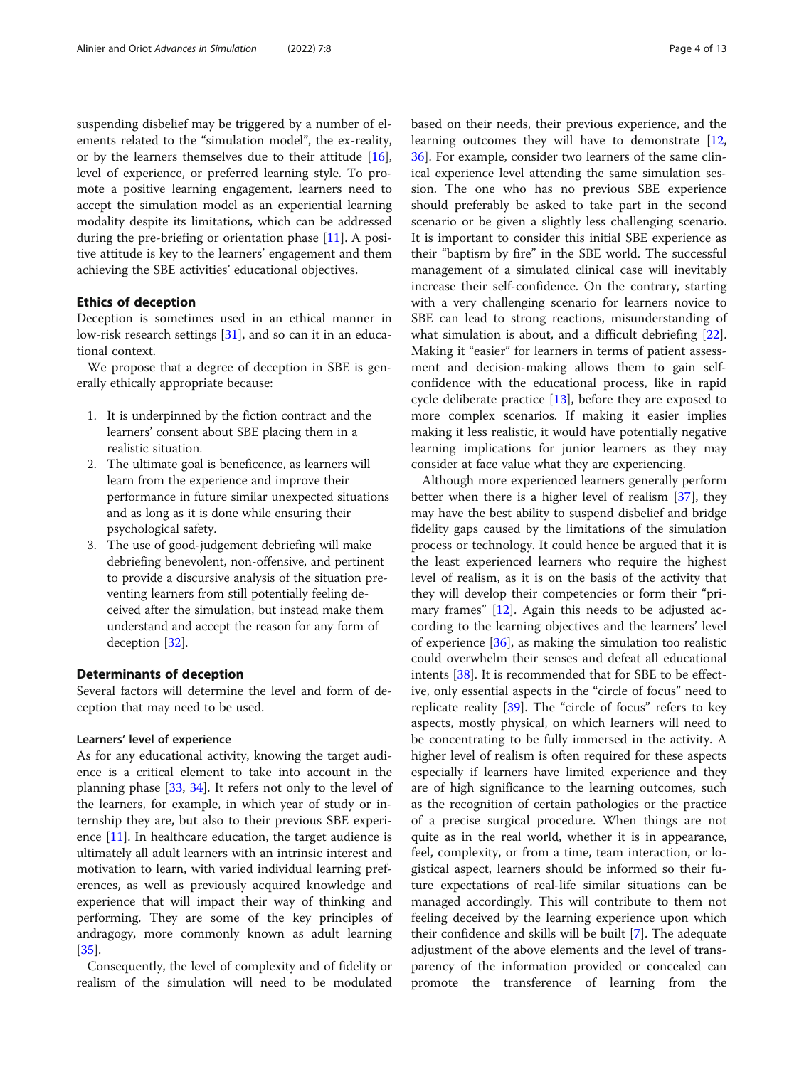suspending disbelief may be triggered by a number of elements related to the "simulation model", the ex-reality, or by the learners themselves due to their attitude [\[16](#page-11-0)], level of experience, or preferred learning style. To promote a positive learning engagement, learners need to accept the simulation model as an experiential learning modality despite its limitations, which can be addressed during the pre-briefing or orientation phase [\[11](#page-11-0)]. A positive attitude is key to the learners' engagement and them achieving the SBE activities' educational objectives.

# Ethics of deception

Deception is sometimes used in an ethical manner in low-risk research settings [[31](#page-11-0)], and so can it in an educational context.

We propose that a degree of deception in SBE is generally ethically appropriate because:

- 1. It is underpinned by the fiction contract and the learners' consent about SBE placing them in a realistic situation.
- 2. The ultimate goal is beneficence, as learners will learn from the experience and improve their performance in future similar unexpected situations and as long as it is done while ensuring their psychological safety.
- 3. The use of good-judgement debriefing will make debriefing benevolent, non-offensive, and pertinent to provide a discursive analysis of the situation preventing learners from still potentially feeling deceived after the simulation, but instead make them understand and accept the reason for any form of deception [[32](#page-11-0)].

#### Determinants of deception

Several factors will determine the level and form of deception that may need to be used.

#### Learners' level of experience

As for any educational activity, knowing the target audience is a critical element to take into account in the planning phase [\[33](#page-11-0), [34](#page-11-0)]. It refers not only to the level of the learners, for example, in which year of study or internship they are, but also to their previous SBE experience [[11](#page-11-0)]. In healthcare education, the target audience is ultimately all adult learners with an intrinsic interest and motivation to learn, with varied individual learning preferences, as well as previously acquired knowledge and experience that will impact their way of thinking and performing. They are some of the key principles of andragogy, more commonly known as adult learning [[35\]](#page-11-0).

Consequently, the level of complexity and of fidelity or realism of the simulation will need to be modulated based on their needs, their previous experience, and the learning outcomes they will have to demonstrate [[12](#page-11-0), [36\]](#page-11-0). For example, consider two learners of the same clinical experience level attending the same simulation session. The one who has no previous SBE experience should preferably be asked to take part in the second scenario or be given a slightly less challenging scenario. It is important to consider this initial SBE experience as their "baptism by fire" in the SBE world. The successful management of a simulated clinical case will inevitably increase their self-confidence. On the contrary, starting with a very challenging scenario for learners novice to SBE can lead to strong reactions, misunderstanding of what simulation is about, and a difficult debriefing [\[22](#page-11-0)]. Making it "easier" for learners in terms of patient assessment and decision-making allows them to gain selfconfidence with the educational process, like in rapid cycle deliberate practice [\[13\]](#page-11-0), before they are exposed to more complex scenarios. If making it easier implies making it less realistic, it would have potentially negative learning implications for junior learners as they may consider at face value what they are experiencing.

Although more experienced learners generally perform better when there is a higher level of realism [\[37](#page-12-0)], they may have the best ability to suspend disbelief and bridge fidelity gaps caused by the limitations of the simulation process or technology. It could hence be argued that it is the least experienced learners who require the highest level of realism, as it is on the basis of the activity that they will develop their competencies or form their "primary frames" [[12\]](#page-11-0). Again this needs to be adjusted according to the learning objectives and the learners' level of experience [[36\]](#page-11-0), as making the simulation too realistic could overwhelm their senses and defeat all educational intents [[38](#page-12-0)]. It is recommended that for SBE to be effective, only essential aspects in the "circle of focus" need to replicate reality [[39\]](#page-12-0). The "circle of focus" refers to key aspects, mostly physical, on which learners will need to be concentrating to be fully immersed in the activity. A higher level of realism is often required for these aspects especially if learners have limited experience and they are of high significance to the learning outcomes, such as the recognition of certain pathologies or the practice of a precise surgical procedure. When things are not quite as in the real world, whether it is in appearance, feel, complexity, or from a time, team interaction, or logistical aspect, learners should be informed so their future expectations of real-life similar situations can be managed accordingly. This will contribute to them not feeling deceived by the learning experience upon which their confidence and skills will be built [[7\]](#page-11-0). The adequate adjustment of the above elements and the level of transparency of the information provided or concealed can promote the transference of learning from the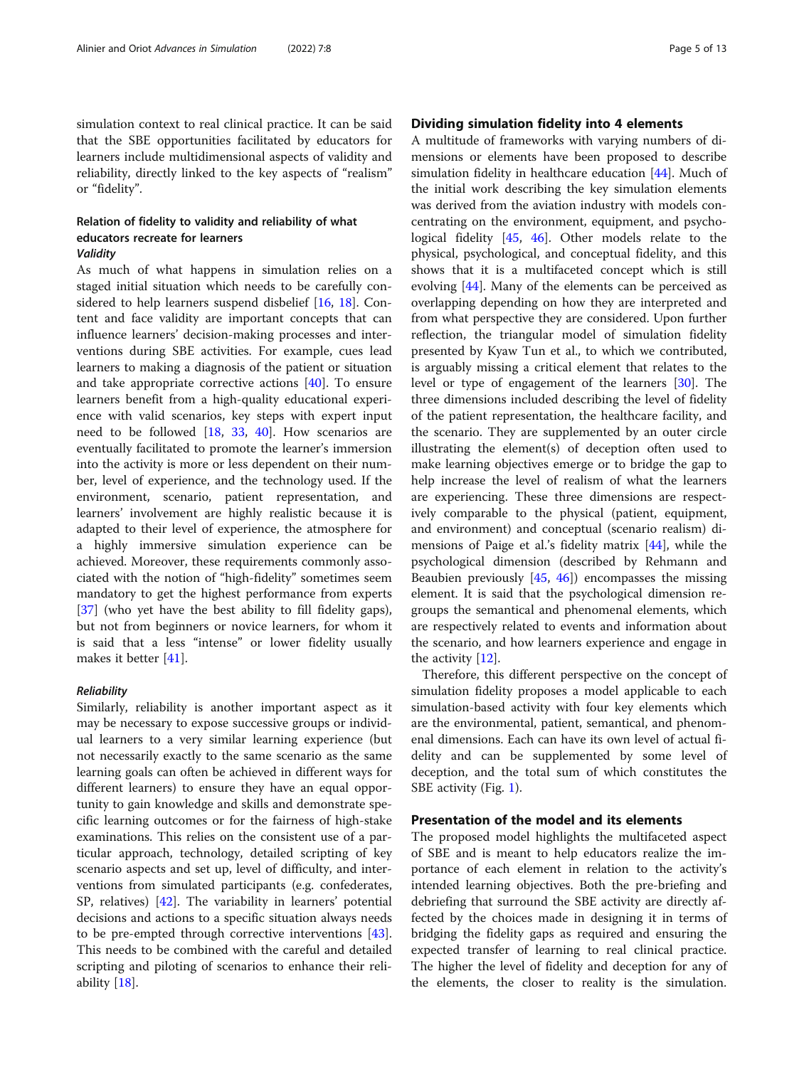simulation context to real clinical practice. It can be said that the SBE opportunities facilitated by educators for learners include multidimensional aspects of validity and reliability, directly linked to the key aspects of "realism" or "fidelity".

# Relation of fidelity to validity and reliability of what educators recreate for learners **Validity**

As much of what happens in simulation relies on a staged initial situation which needs to be carefully considered to help learners suspend disbelief [\[16](#page-11-0), [18\]](#page-11-0). Content and face validity are important concepts that can influence learners' decision-making processes and interventions during SBE activities. For example, cues lead learners to making a diagnosis of the patient or situation and take appropriate corrective actions [[40](#page-12-0)]. To ensure learners benefit from a high-quality educational experience with valid scenarios, key steps with expert input need to be followed [\[18,](#page-11-0) [33](#page-11-0), [40\]](#page-12-0). How scenarios are eventually facilitated to promote the learner's immersion into the activity is more or less dependent on their number, level of experience, and the technology used. If the environment, scenario, patient representation, and learners' involvement are highly realistic because it is adapted to their level of experience, the atmosphere for a highly immersive simulation experience can be achieved. Moreover, these requirements commonly associated with the notion of "high-fidelity" sometimes seem mandatory to get the highest performance from experts [[37\]](#page-12-0) (who yet have the best ability to fill fidelity gaps), but not from beginners or novice learners, for whom it is said that a less "intense" or lower fidelity usually makes it better [[41\]](#page-12-0).

#### **Reliability**

Similarly, reliability is another important aspect as it may be necessary to expose successive groups or individual learners to a very similar learning experience (but not necessarily exactly to the same scenario as the same learning goals can often be achieved in different ways for different learners) to ensure they have an equal opportunity to gain knowledge and skills and demonstrate specific learning outcomes or for the fairness of high-stake examinations. This relies on the consistent use of a particular approach, technology, detailed scripting of key scenario aspects and set up, level of difficulty, and interventions from simulated participants (e.g. confederates, SP, relatives) [\[42](#page-12-0)]. The variability in learners' potential decisions and actions to a specific situation always needs to be pre-empted through corrective interventions [\[43](#page-12-0)]. This needs to be combined with the careful and detailed scripting and piloting of scenarios to enhance their reliability [[18](#page-11-0)].

## Dividing simulation fidelity into 4 elements

A multitude of frameworks with varying numbers of dimensions or elements have been proposed to describe simulation fidelity in healthcare education [[44\]](#page-12-0). Much of the initial work describing the key simulation elements was derived from the aviation industry with models concentrating on the environment, equipment, and psychological fidelity [[45,](#page-12-0) [46](#page-12-0)]. Other models relate to the physical, psychological, and conceptual fidelity, and this shows that it is a multifaceted concept which is still evolving [\[44\]](#page-12-0). Many of the elements can be perceived as overlapping depending on how they are interpreted and from what perspective they are considered. Upon further reflection, the triangular model of simulation fidelity presented by Kyaw Tun et al., to which we contributed, is arguably missing a critical element that relates to the level or type of engagement of the learners [\[30](#page-11-0)]. The three dimensions included describing the level of fidelity of the patient representation, the healthcare facility, and the scenario. They are supplemented by an outer circle illustrating the element(s) of deception often used to make learning objectives emerge or to bridge the gap to help increase the level of realism of what the learners are experiencing. These three dimensions are respectively comparable to the physical (patient, equipment, and environment) and conceptual (scenario realism) dimensions of Paige et al.'s fidelity matrix [[44\]](#page-12-0), while the psychological dimension (described by Rehmann and Beaubien previously  $[45, 46]$  $[45, 46]$  $[45, 46]$  $[45, 46]$  $[45, 46]$  encompasses the missing element. It is said that the psychological dimension regroups the semantical and phenomenal elements, which are respectively related to events and information about the scenario, and how learners experience and engage in the activity [[12\]](#page-11-0).

Therefore, this different perspective on the concept of simulation fidelity proposes a model applicable to each simulation-based activity with four key elements which are the environmental, patient, semantical, and phenomenal dimensions. Each can have its own level of actual fidelity and can be supplemented by some level of deception, and the total sum of which constitutes the SBE activity (Fig. [1\)](#page-5-0).

#### Presentation of the model and its elements

The proposed model highlights the multifaceted aspect of SBE and is meant to help educators realize the importance of each element in relation to the activity's intended learning objectives. Both the pre-briefing and debriefing that surround the SBE activity are directly affected by the choices made in designing it in terms of bridging the fidelity gaps as required and ensuring the expected transfer of learning to real clinical practice. The higher the level of fidelity and deception for any of the elements, the closer to reality is the simulation.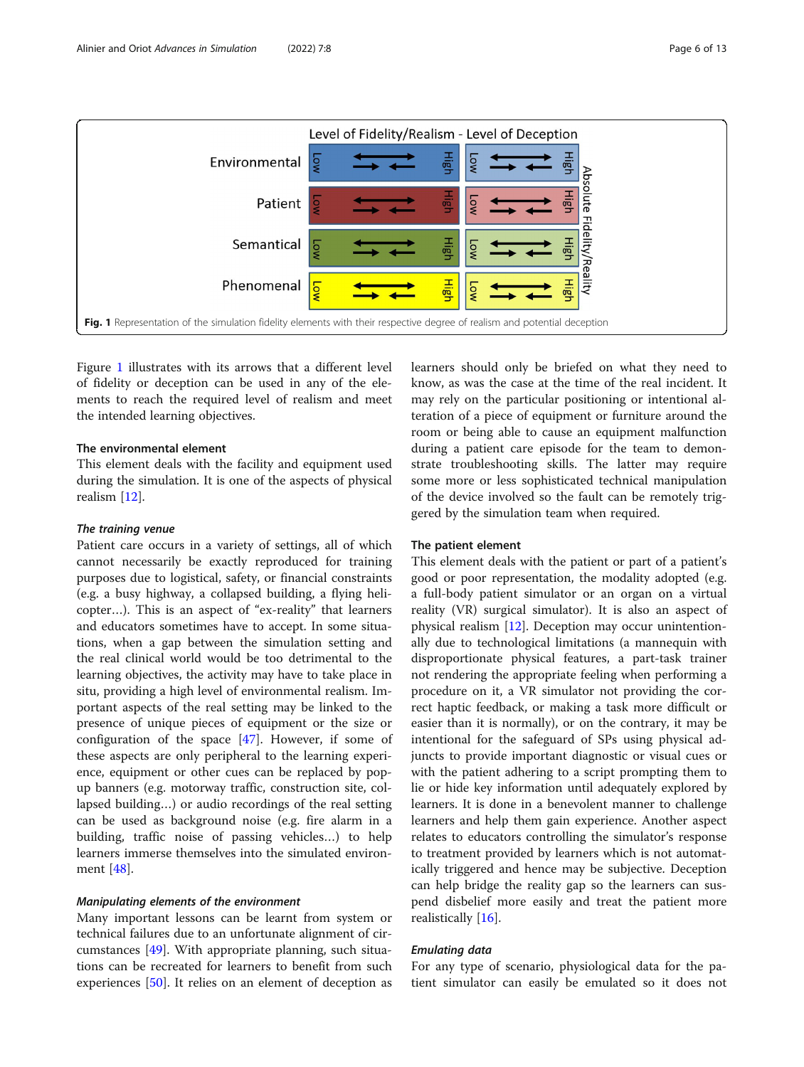<span id="page-5-0"></span>

Figure 1 illustrates with its arrows that a different level of fidelity or deception can be used in any of the elements to reach the required level of realism and meet the intended learning objectives.

#### The environmental element

This element deals with the facility and equipment used during the simulation. It is one of the aspects of physical realism [\[12](#page-11-0)].

#### The training venue

Patient care occurs in a variety of settings, all of which cannot necessarily be exactly reproduced for training purposes due to logistical, safety, or financial constraints (e.g. a busy highway, a collapsed building, a flying helicopter…). This is an aspect of "ex-reality" that learners and educators sometimes have to accept. In some situations, when a gap between the simulation setting and the real clinical world would be too detrimental to the learning objectives, the activity may have to take place in situ, providing a high level of environmental realism. Important aspects of the real setting may be linked to the presence of unique pieces of equipment or the size or configuration of the space [[47\]](#page-12-0). However, if some of these aspects are only peripheral to the learning experience, equipment or other cues can be replaced by popup banners (e.g. motorway traffic, construction site, collapsed building…) or audio recordings of the real setting can be used as background noise (e.g. fire alarm in a building, traffic noise of passing vehicles…) to help learners immerse themselves into the simulated environment [[48\]](#page-12-0).

### Manipulating elements of the environment

Many important lessons can be learnt from system or technical failures due to an unfortunate alignment of circumstances [[49](#page-12-0)]. With appropriate planning, such situations can be recreated for learners to benefit from such experiences [[50\]](#page-12-0). It relies on an element of deception as learners should only be briefed on what they need to know, as was the case at the time of the real incident. It may rely on the particular positioning or intentional alteration of a piece of equipment or furniture around the room or being able to cause an equipment malfunction during a patient care episode for the team to demonstrate troubleshooting skills. The latter may require some more or less sophisticated technical manipulation of the device involved so the fault can be remotely triggered by the simulation team when required.

#### The patient element

This element deals with the patient or part of a patient's good or poor representation, the modality adopted (e.g. a full-body patient simulator or an organ on a virtual reality (VR) surgical simulator). It is also an aspect of physical realism [[12\]](#page-11-0). Deception may occur unintentionally due to technological limitations (a mannequin with disproportionate physical features, a part-task trainer not rendering the appropriate feeling when performing a procedure on it, a VR simulator not providing the correct haptic feedback, or making a task more difficult or easier than it is normally), or on the contrary, it may be intentional for the safeguard of SPs using physical adjuncts to provide important diagnostic or visual cues or with the patient adhering to a script prompting them to lie or hide key information until adequately explored by learners. It is done in a benevolent manner to challenge learners and help them gain experience. Another aspect relates to educators controlling the simulator's response to treatment provided by learners which is not automatically triggered and hence may be subjective. Deception can help bridge the reality gap so the learners can suspend disbelief more easily and treat the patient more realistically [\[16](#page-11-0)].

#### Emulating data

For any type of scenario, physiological data for the patient simulator can easily be emulated so it does not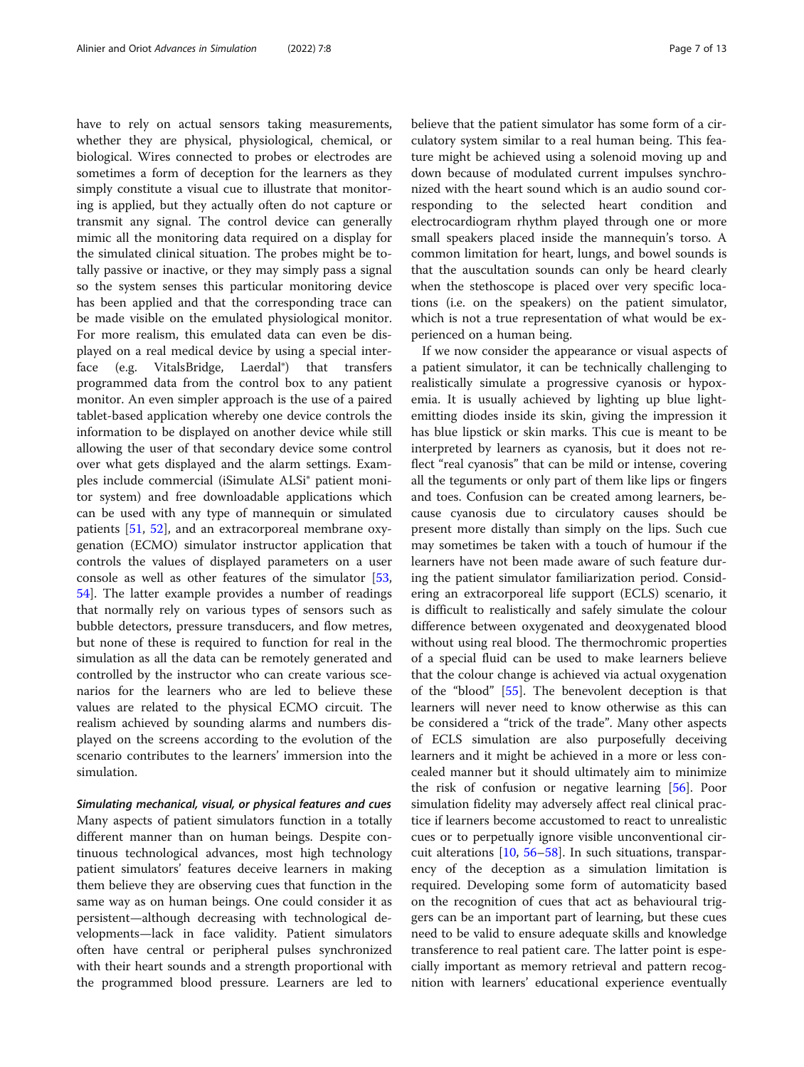have to rely on actual sensors taking measurements, whether they are physical, physiological, chemical, or biological. Wires connected to probes or electrodes are sometimes a form of deception for the learners as they simply constitute a visual cue to illustrate that monitoring is applied, but they actually often do not capture or transmit any signal. The control device can generally mimic all the monitoring data required on a display for the simulated clinical situation. The probes might be totally passive or inactive, or they may simply pass a signal so the system senses this particular monitoring device has been applied and that the corresponding trace can be made visible on the emulated physiological monitor. For more realism, this emulated data can even be displayed on a real medical device by using a special interface (e.g. VitalsBridge, Laerdal®) that transfers programmed data from the control box to any patient monitor. An even simpler approach is the use of a paired tablet-based application whereby one device controls the information to be displayed on another device while still allowing the user of that secondary device some control over what gets displayed and the alarm settings. Examples include commercial (iSimulate ALSi® patient monitor system) and free downloadable applications which can be used with any type of mannequin or simulated patients [[51,](#page-12-0) [52](#page-12-0)], and an extracorporeal membrane oxygenation (ECMO) simulator instructor application that controls the values of displayed parameters on a user console as well as other features of the simulator [[53](#page-12-0), [54\]](#page-12-0). The latter example provides a number of readings that normally rely on various types of sensors such as bubble detectors, pressure transducers, and flow metres, but none of these is required to function for real in the simulation as all the data can be remotely generated and controlled by the instructor who can create various scenarios for the learners who are led to believe these values are related to the physical ECMO circuit. The realism achieved by sounding alarms and numbers displayed on the screens according to the evolution of the scenario contributes to the learners' immersion into the simulation.

Simulating mechanical, visual, or physical features and cues Many aspects of patient simulators function in a totally different manner than on human beings. Despite continuous technological advances, most high technology patient simulators' features deceive learners in making them believe they are observing cues that function in the same way as on human beings. One could consider it as persistent—although decreasing with technological developments—lack in face validity. Patient simulators often have central or peripheral pulses synchronized with their heart sounds and a strength proportional with the programmed blood pressure. Learners are led to believe that the patient simulator has some form of a circulatory system similar to a real human being. This feature might be achieved using a solenoid moving up and down because of modulated current impulses synchronized with the heart sound which is an audio sound corresponding to the selected heart condition and electrocardiogram rhythm played through one or more small speakers placed inside the mannequin's torso. A common limitation for heart, lungs, and bowel sounds is that the auscultation sounds can only be heard clearly when the stethoscope is placed over very specific locations (i.e. on the speakers) on the patient simulator, which is not a true representation of what would be experienced on a human being.

If we now consider the appearance or visual aspects of a patient simulator, it can be technically challenging to realistically simulate a progressive cyanosis or hypoxemia. It is usually achieved by lighting up blue lightemitting diodes inside its skin, giving the impression it has blue lipstick or skin marks. This cue is meant to be interpreted by learners as cyanosis, but it does not reflect "real cyanosis" that can be mild or intense, covering all the teguments or only part of them like lips or fingers and toes. Confusion can be created among learners, because cyanosis due to circulatory causes should be present more distally than simply on the lips. Such cue may sometimes be taken with a touch of humour if the learners have not been made aware of such feature during the patient simulator familiarization period. Considering an extracorporeal life support (ECLS) scenario, it is difficult to realistically and safely simulate the colour difference between oxygenated and deoxygenated blood without using real blood. The thermochromic properties of a special fluid can be used to make learners believe that the colour change is achieved via actual oxygenation of the "blood" [[55](#page-12-0)]. The benevolent deception is that learners will never need to know otherwise as this can be considered a "trick of the trade". Many other aspects of ECLS simulation are also purposefully deceiving learners and it might be achieved in a more or less concealed manner but it should ultimately aim to minimize the risk of confusion or negative learning [\[56](#page-12-0)]. Poor simulation fidelity may adversely affect real clinical practice if learners become accustomed to react to unrealistic cues or to perpetually ignore visible unconventional circuit alterations [[10,](#page-11-0) [56](#page-12-0)–[58\]](#page-12-0). In such situations, transparency of the deception as a simulation limitation is required. Developing some form of automaticity based on the recognition of cues that act as behavioural triggers can be an important part of learning, but these cues need to be valid to ensure adequate skills and knowledge transference to real patient care. The latter point is especially important as memory retrieval and pattern recognition with learners' educational experience eventually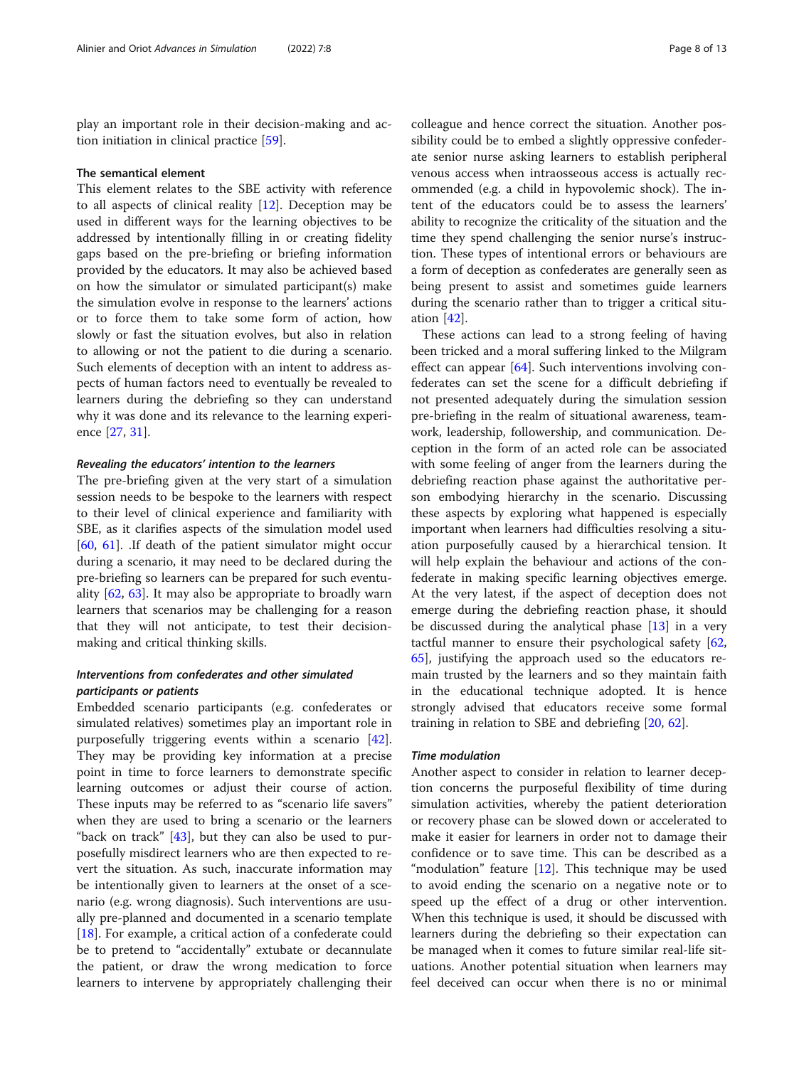play an important role in their decision-making and ac-tion initiation in clinical practice [[59\]](#page-12-0).

#### The semantical element

This element relates to the SBE activity with reference to all aspects of clinical reality  $[12]$  $[12]$ . Deception may be used in different ways for the learning objectives to be addressed by intentionally filling in or creating fidelity gaps based on the pre-briefing or briefing information provided by the educators. It may also be achieved based on how the simulator or simulated participant(s) make the simulation evolve in response to the learners' actions or to force them to take some form of action, how slowly or fast the situation evolves, but also in relation to allowing or not the patient to die during a scenario. Such elements of deception with an intent to address aspects of human factors need to eventually be revealed to learners during the debriefing so they can understand why it was done and its relevance to the learning experience [\[27](#page-11-0), [31](#page-11-0)].

#### Revealing the educators' intention to the learners

The pre-briefing given at the very start of a simulation session needs to be bespoke to the learners with respect to their level of clinical experience and familiarity with SBE, as it clarifies aspects of the simulation model used [[60,](#page-12-0) [61\]](#page-12-0). .If death of the patient simulator might occur during a scenario, it may need to be declared during the pre-briefing so learners can be prepared for such eventuality [\[62,](#page-12-0) [63](#page-12-0)]. It may also be appropriate to broadly warn learners that scenarios may be challenging for a reason that they will not anticipate, to test their decisionmaking and critical thinking skills.

# Interventions from confederates and other simulated participants or patients

Embedded scenario participants (e.g. confederates or simulated relatives) sometimes play an important role in purposefully triggering events within a scenario [\[42](#page-12-0)]. They may be providing key information at a precise point in time to force learners to demonstrate specific learning outcomes or adjust their course of action. These inputs may be referred to as "scenario life savers" when they are used to bring a scenario or the learners "back on track" [[43\]](#page-12-0), but they can also be used to purposefully misdirect learners who are then expected to revert the situation. As such, inaccurate information may be intentionally given to learners at the onset of a scenario (e.g. wrong diagnosis). Such interventions are usually pre-planned and documented in a scenario template [[18\]](#page-11-0). For example, a critical action of a confederate could be to pretend to "accidentally" extubate or decannulate the patient, or draw the wrong medication to force learners to intervene by appropriately challenging their colleague and hence correct the situation. Another possibility could be to embed a slightly oppressive confederate senior nurse asking learners to establish peripheral venous access when intraosseous access is actually recommended (e.g. a child in hypovolemic shock). The intent of the educators could be to assess the learners' ability to recognize the criticality of the situation and the time they spend challenging the senior nurse's instruction. These types of intentional errors or behaviours are a form of deception as confederates are generally seen as being present to assist and sometimes guide learners during the scenario rather than to trigger a critical situation [\[42](#page-12-0)].

These actions can lead to a strong feeling of having been tricked and a moral suffering linked to the Milgram effect can appear [\[64\]](#page-12-0). Such interventions involving confederates can set the scene for a difficult debriefing if not presented adequately during the simulation session pre-briefing in the realm of situational awareness, teamwork, leadership, followership, and communication. Deception in the form of an acted role can be associated with some feeling of anger from the learners during the debriefing reaction phase against the authoritative person embodying hierarchy in the scenario. Discussing these aspects by exploring what happened is especially important when learners had difficulties resolving a situation purposefully caused by a hierarchical tension. It will help explain the behaviour and actions of the confederate in making specific learning objectives emerge. At the very latest, if the aspect of deception does not emerge during the debriefing reaction phase, it should be discussed during the analytical phase [\[13\]](#page-11-0) in a very tactful manner to ensure their psychological safety  $[62, 62]$  $[62, 62]$  $[62, 62]$ [65\]](#page-12-0), justifying the approach used so the educators remain trusted by the learners and so they maintain faith in the educational technique adopted. It is hence strongly advised that educators receive some formal training in relation to SBE and debriefing [\[20](#page-11-0), [62\]](#page-12-0).

#### Time modulation

Another aspect to consider in relation to learner deception concerns the purposeful flexibility of time during simulation activities, whereby the patient deterioration or recovery phase can be slowed down or accelerated to make it easier for learners in order not to damage their confidence or to save time. This can be described as a "modulation" feature [[12\]](#page-11-0). This technique may be used to avoid ending the scenario on a negative note or to speed up the effect of a drug or other intervention. When this technique is used, it should be discussed with learners during the debriefing so their expectation can be managed when it comes to future similar real-life situations. Another potential situation when learners may feel deceived can occur when there is no or minimal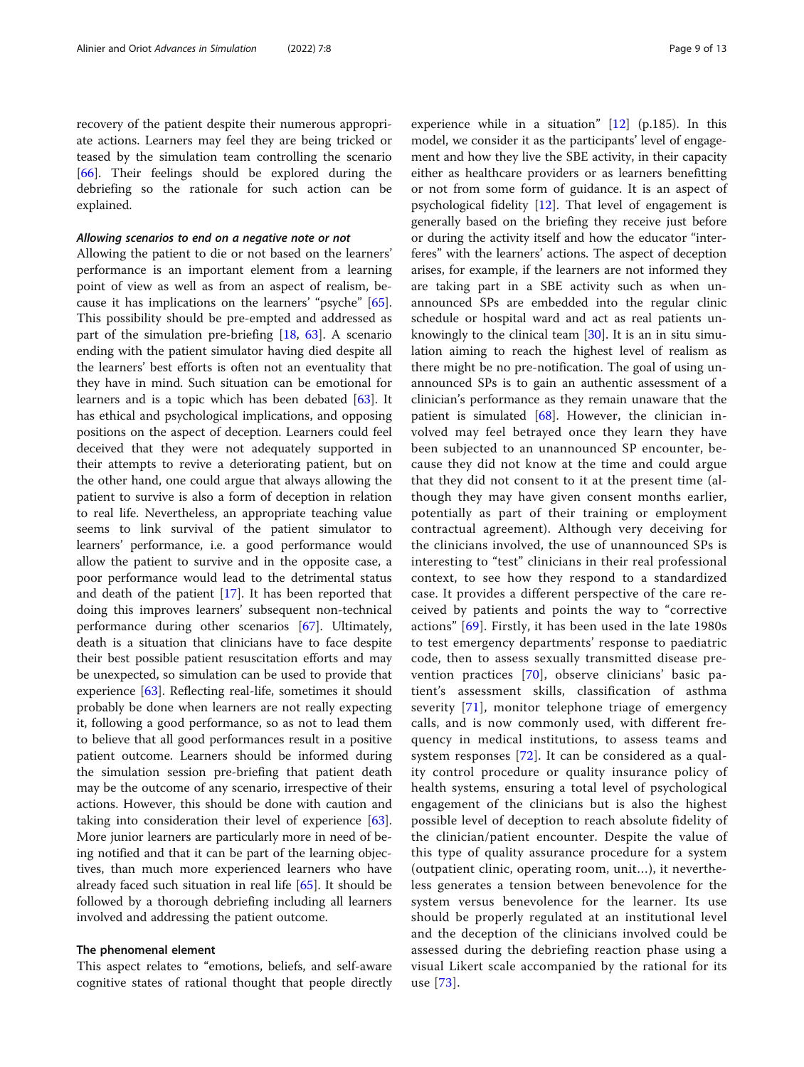recovery of the patient despite their numerous appropriate actions. Learners may feel they are being tricked or teased by the simulation team controlling the scenario [[66\]](#page-12-0). Their feelings should be explored during the debriefing so the rationale for such action can be explained.

#### Allowing scenarios to end on a negative note or not

Allowing the patient to die or not based on the learners' performance is an important element from a learning point of view as well as from an aspect of realism, because it has implications on the learners' "psyche" [\[65](#page-12-0)]. This possibility should be pre-empted and addressed as part of the simulation pre-briefing [[18,](#page-11-0) [63\]](#page-12-0). A scenario ending with the patient simulator having died despite all the learners' best efforts is often not an eventuality that they have in mind. Such situation can be emotional for learners and is a topic which has been debated [[63\]](#page-12-0). It has ethical and psychological implications, and opposing positions on the aspect of deception. Learners could feel deceived that they were not adequately supported in their attempts to revive a deteriorating patient, but on the other hand, one could argue that always allowing the patient to survive is also a form of deception in relation to real life. Nevertheless, an appropriate teaching value seems to link survival of the patient simulator to learners' performance, i.e. a good performance would allow the patient to survive and in the opposite case, a poor performance would lead to the detrimental status and death of the patient [[17\]](#page-11-0). It has been reported that doing this improves learners' subsequent non-technical performance during other scenarios [\[67\]](#page-12-0). Ultimately, death is a situation that clinicians have to face despite their best possible patient resuscitation efforts and may be unexpected, so simulation can be used to provide that experience [\[63\]](#page-12-0). Reflecting real-life, sometimes it should probably be done when learners are not really expecting it, following a good performance, so as not to lead them to believe that all good performances result in a positive patient outcome. Learners should be informed during the simulation session pre-briefing that patient death may be the outcome of any scenario, irrespective of their actions. However, this should be done with caution and taking into consideration their level of experience [\[63](#page-12-0)]. More junior learners are particularly more in need of being notified and that it can be part of the learning objectives, than much more experienced learners who have already faced such situation in real life [\[65](#page-12-0)]. It should be followed by a thorough debriefing including all learners involved and addressing the patient outcome.

#### The phenomenal element

This aspect relates to "emotions, beliefs, and self-aware cognitive states of rational thought that people directly

experience while in a situation" [[12\]](#page-11-0) (p.185). In this model, we consider it as the participants' level of engagement and how they live the SBE activity, in their capacity either as healthcare providers or as learners benefitting or not from some form of guidance. It is an aspect of psychological fidelity [\[12](#page-11-0)]. That level of engagement is generally based on the briefing they receive just before or during the activity itself and how the educator "interferes" with the learners' actions. The aspect of deception arises, for example, if the learners are not informed they are taking part in a SBE activity such as when unannounced SPs are embedded into the regular clinic schedule or hospital ward and act as real patients unknowingly to the clinical team [[30\]](#page-11-0). It is an in situ simulation aiming to reach the highest level of realism as there might be no pre-notification. The goal of using unannounced SPs is to gain an authentic assessment of a clinician's performance as they remain unaware that the patient is simulated [\[68\]](#page-12-0). However, the clinician involved may feel betrayed once they learn they have been subjected to an unannounced SP encounter, because they did not know at the time and could argue that they did not consent to it at the present time (although they may have given consent months earlier, potentially as part of their training or employment contractual agreement). Although very deceiving for the clinicians involved, the use of unannounced SPs is interesting to "test" clinicians in their real professional context, to see how they respond to a standardized case. It provides a different perspective of the care received by patients and points the way to "corrective actions" [[69](#page-12-0)]. Firstly, it has been used in the late 1980s to test emergency departments' response to paediatric code, then to assess sexually transmitted disease prevention practices [[70\]](#page-12-0), observe clinicians' basic patient's assessment skills, classification of asthma severity [[71](#page-12-0)], monitor telephone triage of emergency calls, and is now commonly used, with different frequency in medical institutions, to assess teams and system responses [\[72](#page-12-0)]. It can be considered as a quality control procedure or quality insurance policy of health systems, ensuring a total level of psychological engagement of the clinicians but is also the highest possible level of deception to reach absolute fidelity of the clinician/patient encounter. Despite the value of this type of quality assurance procedure for a system (outpatient clinic, operating room, unit…), it nevertheless generates a tension between benevolence for the system versus benevolence for the learner. Its use should be properly regulated at an institutional level and the deception of the clinicians involved could be assessed during the debriefing reaction phase using a visual Likert scale accompanied by the rational for its use [[73](#page-12-0)].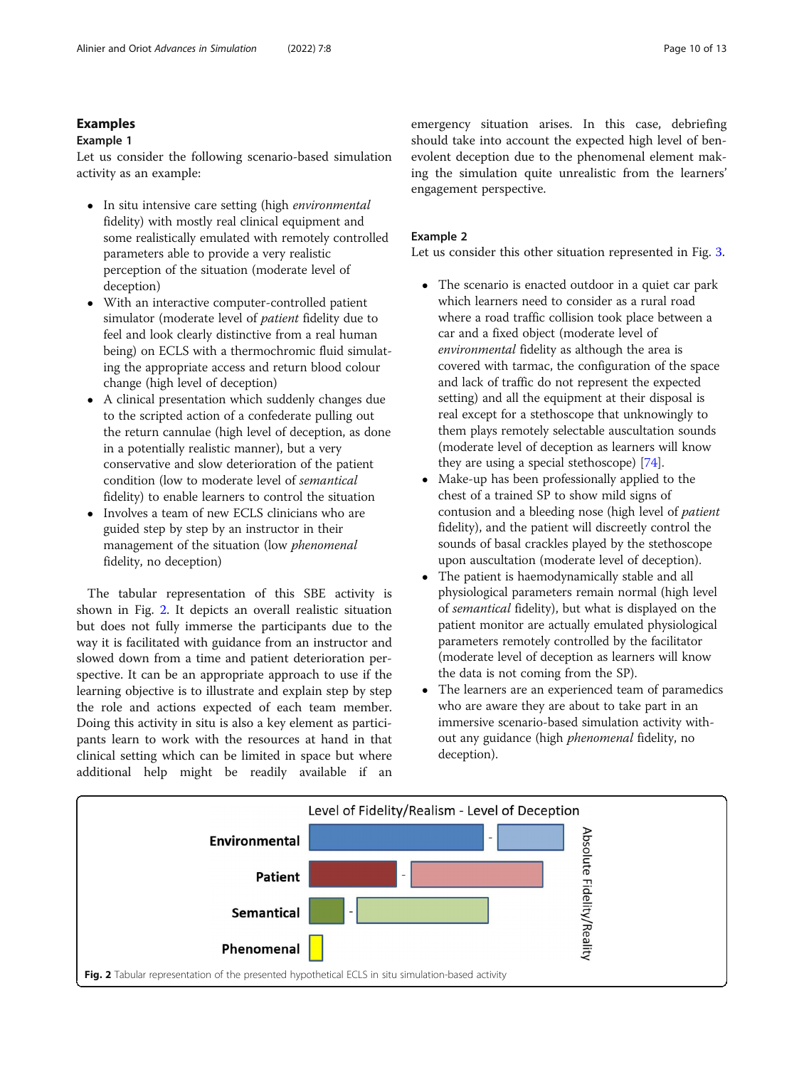# Examples

### Example 1

Let us consider the following scenario-based simulation activity as an example:

- In situ intensive care setting (high *environmental* fidelity) with mostly real clinical equipment and some realistically emulated with remotely controlled parameters able to provide a very realistic perception of the situation (moderate level of deception)
- With an interactive computer-controlled patient simulator (moderate level of patient fidelity due to feel and look clearly distinctive from a real human being) on ECLS with a thermochromic fluid simulating the appropriate access and return blood colour change (high level of deception)
- A clinical presentation which suddenly changes due to the scripted action of a confederate pulling out the return cannulae (high level of deception, as done in a potentially realistic manner), but a very conservative and slow deterioration of the patient condition (low to moderate level of semantical fidelity) to enable learners to control the situation
- Involves a team of new ECLS clinicians who are guided step by step by an instructor in their management of the situation (low phenomenal fidelity, no deception)

The tabular representation of this SBE activity is shown in Fig. 2. It depicts an overall realistic situation but does not fully immerse the participants due to the way it is facilitated with guidance from an instructor and slowed down from a time and patient deterioration perspective. It can be an appropriate approach to use if the learning objective is to illustrate and explain step by step the role and actions expected of each team member. Doing this activity in situ is also a key element as participants learn to work with the resources at hand in that clinical setting which can be limited in space but where additional help might be readily available if an emergency situation arises. In this case, debriefing should take into account the expected high level of benevolent deception due to the phenomenal element making the simulation quite unrealistic from the learners' engagement perspective.

# Example 2

Let us consider this other situation represented in Fig. [3](#page-10-0).

- The scenario is enacted outdoor in a quiet car park which learners need to consider as a rural road where a road traffic collision took place between a car and a fixed object (moderate level of environmental fidelity as although the area is covered with tarmac, the configuration of the space and lack of traffic do not represent the expected setting) and all the equipment at their disposal is real except for a stethoscope that unknowingly to them plays remotely selectable auscultation sounds (moderate level of deception as learners will know they are using a special stethoscope) [[74](#page-12-0)].
- Make-up has been professionally applied to the chest of a trained SP to show mild signs of contusion and a bleeding nose (high level of patient fidelity), and the patient will discreetly control the sounds of basal crackles played by the stethoscope upon auscultation (moderate level of deception).
- The patient is haemodynamically stable and all physiological parameters remain normal (high level of semantical fidelity), but what is displayed on the patient monitor are actually emulated physiological parameters remotely controlled by the facilitator (moderate level of deception as learners will know the data is not coming from the SP).
- The learners are an experienced team of paramedics who are aware they are about to take part in an immersive scenario-based simulation activity without any guidance (high phenomenal fidelity, no deception).

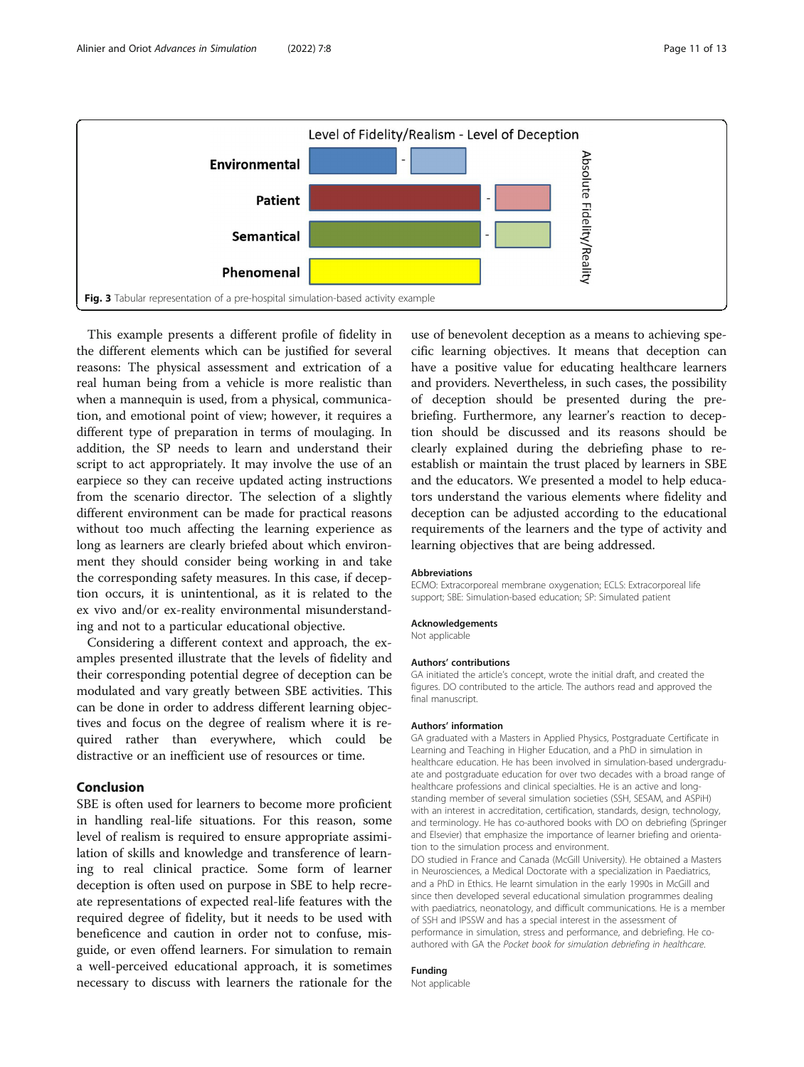<span id="page-10-0"></span>

This example presents a different profile of fidelity in the different elements which can be justified for several reasons: The physical assessment and extrication of a real human being from a vehicle is more realistic than when a mannequin is used, from a physical, communication, and emotional point of view; however, it requires a different type of preparation in terms of moulaging. In addition, the SP needs to learn and understand their script to act appropriately. It may involve the use of an earpiece so they can receive updated acting instructions from the scenario director. The selection of a slightly different environment can be made for practical reasons without too much affecting the learning experience as long as learners are clearly briefed about which environment they should consider being working in and take the corresponding safety measures. In this case, if deception occurs, it is unintentional, as it is related to the ex vivo and/or ex-reality environmental misunderstanding and not to a particular educational objective.

Considering a different context and approach, the examples presented illustrate that the levels of fidelity and their corresponding potential degree of deception can be modulated and vary greatly between SBE activities. This can be done in order to address different learning objectives and focus on the degree of realism where it is required rather than everywhere, which could be distractive or an inefficient use of resources or time.

# Conclusion

SBE is often used for learners to become more proficient in handling real-life situations. For this reason, some level of realism is required to ensure appropriate assimilation of skills and knowledge and transference of learning to real clinical practice. Some form of learner deception is often used on purpose in SBE to help recreate representations of expected real-life features with the required degree of fidelity, but it needs to be used with beneficence and caution in order not to confuse, misguide, or even offend learners. For simulation to remain a well-perceived educational approach, it is sometimes necessary to discuss with learners the rationale for the

use of benevolent deception as a means to achieving specific learning objectives. It means that deception can have a positive value for educating healthcare learners and providers. Nevertheless, in such cases, the possibility of deception should be presented during the prebriefing. Furthermore, any learner's reaction to deception should be discussed and its reasons should be clearly explained during the debriefing phase to reestablish or maintain the trust placed by learners in SBE and the educators. We presented a model to help educators understand the various elements where fidelity and deception can be adjusted according to the educational requirements of the learners and the type of activity and learning objectives that are being addressed.

#### Abbreviations

ECMO: Extracorporeal membrane oxygenation; ECLS: Extracorporeal life support; SBE: Simulation-based education; SP: Simulated patient

#### Acknowledgements

Not applicable

#### Authors' contributions

GA initiated the article's concept, wrote the initial draft, and created the figures. DO contributed to the article. The authors read and approved the final manuscript.

#### Authors' information

GA graduated with a Masters in Applied Physics, Postgraduate Certificate in Learning and Teaching in Higher Education, and a PhD in simulation in healthcare education. He has been involved in simulation-based undergraduate and postgraduate education for over two decades with a broad range of healthcare professions and clinical specialties. He is an active and longstanding member of several simulation societies (SSH, SESAM, and ASPiH) with an interest in accreditation, certification, standards, design, technology, and terminology. He has co-authored books with DO on debriefing (Springer and Elsevier) that emphasize the importance of learner briefing and orientation to the simulation process and environment.

DO studied in France and Canada (McGill University). He obtained a Masters in Neurosciences, a Medical Doctorate with a specialization in Paediatrics, and a PhD in Ethics. He learnt simulation in the early 1990s in McGill and since then developed several educational simulation programmes dealing with paediatrics, neonatology, and difficult communications. He is a member of SSH and IPSSW and has a special interest in the assessment of performance in simulation, stress and performance, and debriefing. He coauthored with GA the Pocket book for simulation debriefing in healthcare.

# Funding

Not applicable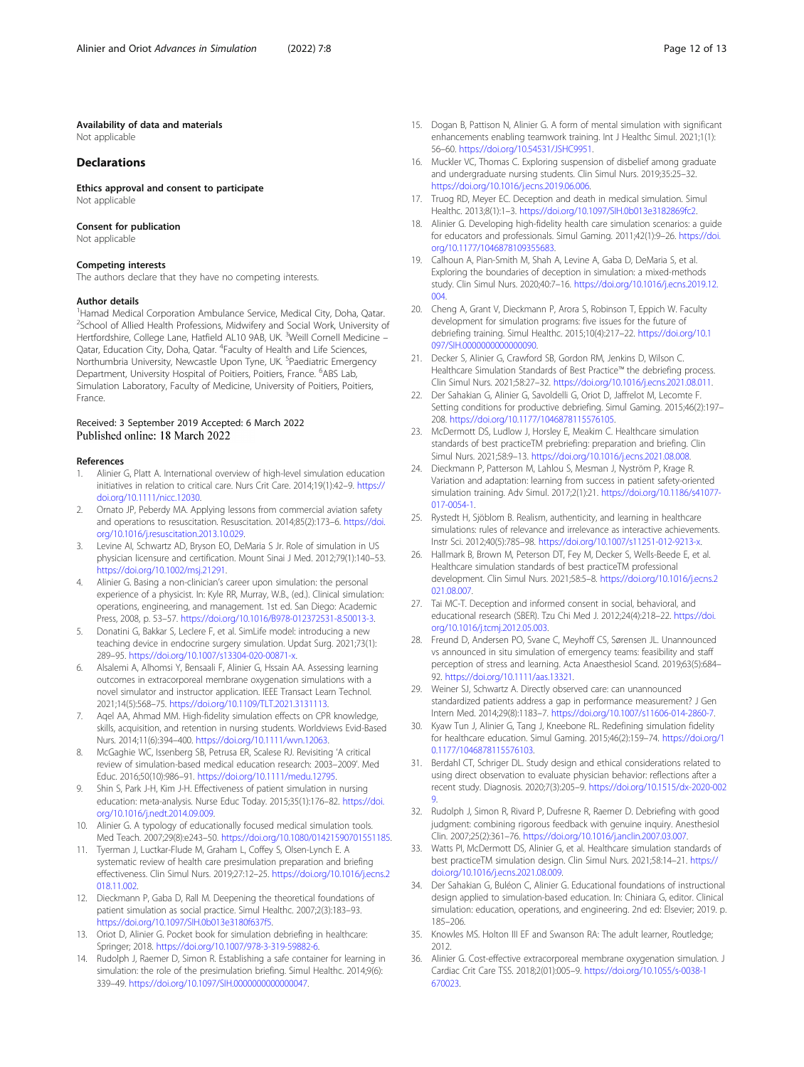#### <span id="page-11-0"></span>Availability of data and materials

Not applicable

#### **Declarations**

Ethics approval and consent to participate Not applicable

#### Consent for publication

Not applicable

# Competing interests

The authors declare that they have no competing interests.

#### Author details

<sup>1</sup> Hamad Medical Corporation Ambulance Service, Medical City, Doha, Qatar. <sup>2</sup>School of Allied Health Professions, Midwifery and Social Work, University of Hertfordshire, College Lane, Hatfield AL10 9AB, UK. <sup>3</sup>Weill Cornell Medicine – Qatar, Education City, Doha, Qatar. <sup>4</sup>Faculty of Health and Life Sciences, Northumbria University, Newcastle Upon Tyne, UK. <sup>5</sup>Paediatric Emergency Department, University Hospital of Poitiers, Poitiers, France. <sup>6</sup>ABS Lab, Simulation Laboratory, Faculty of Medicine, University of Poitiers, Poitiers, France.

# Received: 3 September 2019 Accepted: 6 March 2022<br>Published online: 18 March 2022

#### References

- 1. Alinier G, Platt A. International overview of high-level simulation education initiatives in relation to critical care. Nurs Crit Care. 2014;19(1):42–9. [https://](https://doi.org/10.1111/nicc.12030) [doi.org/10.1111/nicc.12030](https://doi.org/10.1111/nicc.12030).
- 2. Ornato JP, Peberdy MA. Applying lessons from commercial aviation safety and operations to resuscitation. Resuscitation. 2014;85(2):173–6. [https://doi.](https://doi.org/10.1016/j.resuscitation.2013.10.029) [org/10.1016/j.resuscitation.2013.10.029](https://doi.org/10.1016/j.resuscitation.2013.10.029).
- 3. Levine AI, Schwartz AD, Bryson EO, DeMaria S Jr. Role of simulation in US physician licensure and certification. Mount Sinai J Med. 2012;79(1):140–53. <https://doi.org/10.1002/msj.21291>.
- Alinier G. Basing a non-clinician's career upon simulation: the personal experience of a physicist. In: Kyle RR, Murray, W.B., (ed.). Clinical simulation: operations, engineering, and management. 1st ed. San Diego: Academic Press, 2008, p. 53–57. <https://doi.org/10.1016/B978-012372531-8.50013-3>.
- 5. Donatini G, Bakkar S, Leclere F, et al. SimLife model: introducing a new teaching device in endocrine surgery simulation. Updat Surg. 2021;73(1): 289–95. <https://doi.org/10.1007/s13304-020-00871-x>.
- 6. Alsalemi A, Alhomsi Y, Bensaali F, Alinier G, Hssain AA. Assessing learning outcomes in extracorporeal membrane oxygenation simulations with a novel simulator and instructor application. IEEE Transact Learn Technol. 2021;14(5):568–75. <https://doi.org/10.1109/TLT.2021.3131113>.
- 7. Aqel AA, Ahmad MM. High-fidelity simulation effects on CPR knowledge, skills, acquisition, and retention in nursing students. Worldviews Evid-Based Nurs. 2014;11(6):394–400. [https://doi.org/10.1111/wvn.12063.](https://doi.org/10.1111/wvn.12063)
- 8. McGaghie WC, Issenberg SB, Petrusa ER, Scalese RJ. Revisiting 'A critical review of simulation-based medical education research: 2003–2009'. Med Educ. 2016;50(10):986–91. [https://doi.org/10.1111/medu.12795.](https://doi.org/10.1111/medu.12795)
- 9. Shin S, Park J-H, Kim J-H. Effectiveness of patient simulation in nursing education: meta-analysis. Nurse Educ Today. 2015;35(1):176–82. [https://doi.](https://doi.org/10.1016/j.nedt.2014.09.009) [org/10.1016/j.nedt.2014.09.009](https://doi.org/10.1016/j.nedt.2014.09.009).
- 10. Alinier G. A typology of educationally focused medical simulation tools. Med Teach. 2007;29(8):e243–50. <https://doi.org/10.1080/01421590701551185>.
- 11. Tyerman J, Luctkar-Flude M, Graham L, Coffey S, Olsen-Lynch E. A systematic review of health care presimulation preparation and briefing effectiveness. Clin Simul Nurs. 2019;27:12–25. [https://doi.org/10.1016/j.ecns.2](https://doi.org/10.1016/j.ecns.2018.11.002) [018.11.002](https://doi.org/10.1016/j.ecns.2018.11.002).
- 12. Dieckmann P, Gaba D, Rall M. Deepening the theoretical foundations of patient simulation as social practice. Simul Healthc. 2007;2(3):183–93. <https://doi.org/10.1097/SIH.0b013e3180f637f5>.
- 13. Oriot D, Alinier G. Pocket book for simulation debriefing in healthcare: Springer; 2018. [https://doi.org/10.1007/978-3-319-59882-6.](https://doi.org/10.1007/978-3-319-59882-6)
- 14. Rudolph J, Raemer D, Simon R. Establishing a safe container for learning in simulation: the role of the presimulation briefing. Simul Healthc. 2014;9(6): 339–49. [https://doi.org/10.1097/SIH.0000000000000047.](https://doi.org/10.1097/SIH.0000000000000047)
- 15. Dogan B, Pattison N, Alinier G. A form of mental simulation with significant enhancements enabling teamwork training. Int J Healthc Simul. 2021;1(1): 56–60. [https://doi.org/10.54531/JSHC9951.](https://doi.org/10.54531/JSHC9951)
- 16. Muckler VC, Thomas C. Exploring suspension of disbelief among graduate and undergraduate nursing students. Clin Simul Nurs. 2019;35:25–32. [https://doi.org/10.1016/j.ecns.2019.06.006.](https://doi.org/10.1016/j.ecns.2019.06.006)
- 17. Truog RD, Meyer EC. Deception and death in medical simulation. Simul Healthc. 2013;8(1):1–3. [https://doi.org/10.1097/SIH.0b013e3182869fc2.](https://doi.org/10.1097/SIH.0b013e3182869fc2)
- 18. Alinier G. Developing high-fidelity health care simulation scenarios: a guide for educators and professionals. Simul Gaming. 2011;42(1):9–26. [https://doi.](https://doi.org/10.1177/1046878109355683) [org/10.1177/1046878109355683.](https://doi.org/10.1177/1046878109355683)
- 19. Calhoun A, Pian-Smith M, Shah A, Levine A, Gaba D, DeMaria S, et al. Exploring the boundaries of deception in simulation: a mixed-methods study. Clin Simul Nurs. 2020;40:7–16. [https://doi.org/10.1016/j.ecns.2019.12.](https://doi.org/10.1016/j.ecns.2019.12.004) [004.](https://doi.org/10.1016/j.ecns.2019.12.004)
- 20. Cheng A, Grant V, Dieckmann P, Arora S, Robinson T, Eppich W. Faculty development for simulation programs: five issues for the future of debriefing training. Simul Healthc. 2015;10(4):217–22. [https://doi.org/10.1](https://doi.org/10.1097/SIH.0000000000000090) 097/SIH.00000000000000000.
- 21. Decker S, Alinier G, Crawford SB, Gordon RM, Jenkins D, Wilson C. Healthcare Simulation Standards of Best Practice™ the debriefing process. Clin Simul Nurs. 2021;58:27–32. <https://doi.org/10.1016/j.ecns.2021.08.011>.
- 22. Der Sahakian G, Alinier G, Savoldelli G, Oriot D, Jaffrelot M, Lecomte F. Setting conditions for productive debriefing. Simul Gaming. 2015;46(2):197– 208. <https://doi.org/10.1177/1046878115576105>.
- 23. McDermott DS, Ludlow J, Horsley E, Meakim C. Healthcare simulation standards of best practiceTM prebriefing: preparation and briefing. Clin Simul Nurs. 2021;58:9–13. [https://doi.org/10.1016/j.ecns.2021.08.008.](https://doi.org/10.1016/j.ecns.2021.08.008)
- 24. Dieckmann P, Patterson M, Lahlou S, Mesman J, Nyström P, Krage R. Variation and adaptation: learning from success in patient safety-oriented simulation training. Adv Simul. 2017;2(1):21. [https://doi.org/10.1186/s41077-](https://doi.org/10.1186/s41077-017-0054-1) [017-0054-1](https://doi.org/10.1186/s41077-017-0054-1).
- 25. Rystedt H, Sjöblom B. Realism, authenticity, and learning in healthcare simulations: rules of relevance and irrelevance as interactive achievements. Instr Sci. 2012;40(5):785–98. <https://doi.org/10.1007/s11251-012-9213-x>.
- 26. Hallmark B, Brown M, Peterson DT, Fey M, Decker S, Wells-Beede E, et al. Healthcare simulation standards of best practiceTM professional development. Clin Simul Nurs. 2021;58:5–8. [https://doi.org/10.1016/j.ecns.2](https://doi.org/10.1016/j.ecns.2021.08.007) [021.08.007](https://doi.org/10.1016/j.ecns.2021.08.007).
- 27. Tai MC-T. Deception and informed consent in social, behavioral, and educational research (SBER). Tzu Chi Med J. 2012;24(4):218–22. [https://doi.](https://doi.org/10.1016/j.tcmj.2012.05.003) [org/10.1016/j.tcmj.2012.05.003](https://doi.org/10.1016/j.tcmj.2012.05.003).
- 28. Freund D, Andersen PO, Svane C, Meyhoff CS, Sørensen JL. Unannounced vs announced in situ simulation of emergency teams: feasibility and staff perception of stress and learning. Acta Anaesthesiol Scand. 2019;63(5):684– 92. <https://doi.org/10.1111/aas.13321>.
- 29. Weiner SJ, Schwartz A. Directly observed care: can unannounced standardized patients address a gap in performance measurement? J Gen Intern Med. 2014;29(8):1183–7. [https://doi.org/10.1007/s11606-014-2860-7.](https://doi.org/10.1007/s11606-014-2860-7)
- 30. Kyaw Tun J, Alinier G, Tang J, Kneebone RL. Redefining simulation fidelity for healthcare education. Simul Gaming. 2015;46(2):159–74. [https://doi.org/1](https://doi.org/10.1177/1046878115576103) [0.1177/1046878115576103](https://doi.org/10.1177/1046878115576103).
- 31. Berdahl CT, Schriger DL. Study design and ethical considerations related to using direct observation to evaluate physician behavior: reflections after a recent study. Diagnosis. 2020;7(3):205–9. [https://doi.org/10.1515/dx-2020-002](https://doi.org/10.1515/dx-2020-0029) [9](https://doi.org/10.1515/dx-2020-0029).
- 32. Rudolph J, Simon R, Rivard P, Dufresne R, Raemer D. Debriefing with good judgment: combining rigorous feedback with genuine inquiry. Anesthesiol Clin. 2007;25(2):361–76. [https://doi.org/10.1016/j.anclin.2007.03.007.](https://doi.org/10.1016/j.anclin.2007.03.007)
- 33. Watts PI, McDermott DS, Alinier G, et al. Healthcare simulation standards of best practiceTM simulation design. Clin Simul Nurs. 2021;58:14–21. [https://](https://doi.org/10.1016/j.ecns.2021.08.009) [doi.org/10.1016/j.ecns.2021.08.009](https://doi.org/10.1016/j.ecns.2021.08.009).
- 34. Der Sahakian G, Buléon C, Alinier G. Educational foundations of instructional design applied to simulation-based education. In: Chiniara G, editor. Clinical simulation: education, operations, and engineering. 2nd ed: Elsevier; 2019. p. 185–206.
- 35. Knowles MS. Holton III EF and Swanson RA: The adult learner, Routledge; 2012.
- 36. Alinier G. Cost-effective extracorporeal membrane oxygenation simulation. J Cardiac Crit Care TSS. 2018;2(01):005–9. [https://doi.org/10.1055/s-0038-1](https://doi.org/10.1055/s-0038-1670023) [670023](https://doi.org/10.1055/s-0038-1670023).